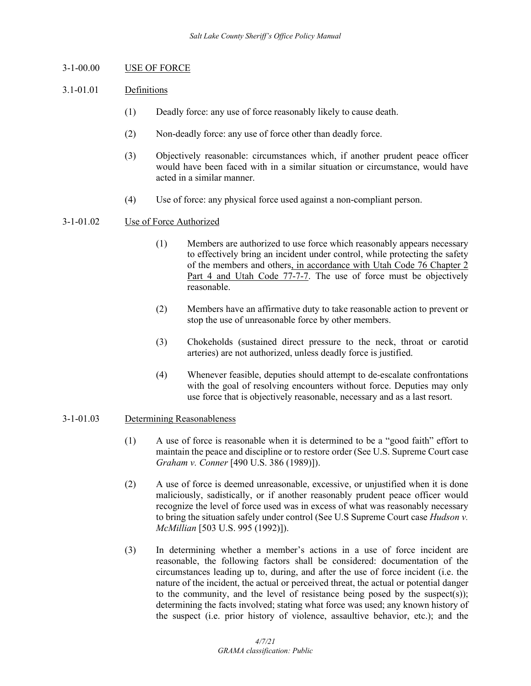# 3-1-00.00 USE OF FORCE

# 3.1-01.01 Definitions

- (1) Deadly force: any use of force reasonably likely to cause death.
- (2) Non-deadly force: any use of force other than deadly force.
- (3) Objectively reasonable: circumstances which, if another prudent peace officer would have been faced with in a similar situation or circumstance, would have acted in a similar manner.
- (4) Use of force: any physical force used against a non-compliant person.

### 3-1-01.02 Use of Force Authorized

- (1) Members are authorized to use force which reasonably appears necessary to effectively bring an incident under control, while protecting the safety of the members and others, in accordance with Utah Code 76 Chapter 2 Part 4 and Utah Code 77-7-7. The use of force must be objectively reasonable.
- (2) Members have an affirmative duty to take reasonable action to prevent or stop the use of unreasonable force by other members.
- (3) Chokeholds (sustained direct pressure to the neck, throat or carotid arteries) are not authorized, unless deadly force is justified.
- (4) Whenever feasible, deputies should attempt to de-escalate confrontations with the goal of resolving encounters without force. Deputies may only use force that is objectively reasonable, necessary and as a last resort.

#### 3-1-01.03 Determining Reasonableness

- (1) A use of force is reasonable when it is determined to be a "good faith" effort to maintain the peace and discipline or to restore order (See U.S. Supreme Court case *Graham v. Conner* [490 U.S. 386 (1989)]).
- (2) A use of force is deemed unreasonable, excessive, or unjustified when it is done maliciously, sadistically, or if another reasonably prudent peace officer would recognize the level of force used was in excess of what was reasonably necessary to bring the situation safely under control (See U.S Supreme Court case *Hudson v. McMillian* [503 U.S. 995 (1992)]).
- (3) In determining whether a member's actions in a use of force incident are reasonable, the following factors shall be considered: documentation of the circumstances leading up to, during, and after the use of force incident (i.e. the nature of the incident, the actual or perceived threat, the actual or potential danger to the community, and the level of resistance being posed by the suspect(s)); determining the facts involved; stating what force was used; any known history of the suspect (i.e. prior history of violence, assaultive behavior, etc.); and the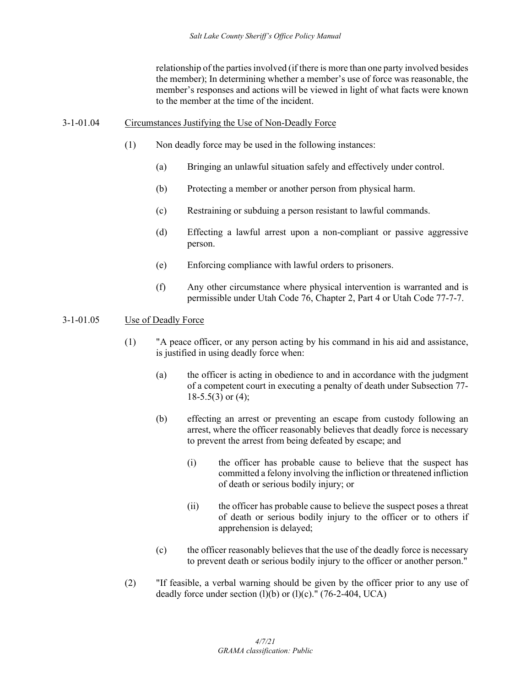relationship of the parties involved (if there is more than one party involved besides the member); In determining whether a member's use of force was reasonable, the member's responses and actions will be viewed in light of what facts were known to the member at the time of the incident.

#### 3-1-01.04 Circumstances Justifying the Use of Non-Deadly Force

- (1) Non deadly force may be used in the following instances:
	- (a) Bringing an unlawful situation safely and effectively under control.
	- (b) Protecting a member or another person from physical harm.
	- (c) Restraining or subduing a person resistant to lawful commands.
	- (d) Effecting a lawful arrest upon a non-compliant or passive aggressive person.
	- (e) Enforcing compliance with lawful orders to prisoners.
	- (f) Any other circumstance where physical intervention is warranted and is permissible under Utah Code 76, Chapter 2, Part 4 or Utah Code 77-7-7.

# 3-1-01.05 Use of Deadly Force

- (1) "A peace officer, or any person acting by his command in his aid and assistance, is justified in using deadly force when:
	- (a) the officer is acting in obedience to and in accordance with the judgment of a competent court in executing a penalty of death under Subsection 77-  $18-5.5(3)$  or  $(4)$ ;
	- (b) effecting an arrest or preventing an escape from custody following an arrest, where the officer reasonably believes that deadly force is necessary to prevent the arrest from being defeated by escape; and
		- (i) the officer has probable cause to believe that the suspect has committed a felony involving the infliction or threatened infliction of death or serious bodily injury; or
		- (ii) the officer has probable cause to believe the suspect poses a threat of death or serious bodily injury to the officer or to others if apprehension is delayed;
	- (c) the officer reasonably believes that the use of the deadly force is necessary to prevent death or serious bodily injury to the officer or another person."
- (2) "If feasible, a verbal warning should be given by the officer prior to any use of deadly force under section  $(l)(b)$  or  $(l)(c)$ ." (76-2-404, UCA)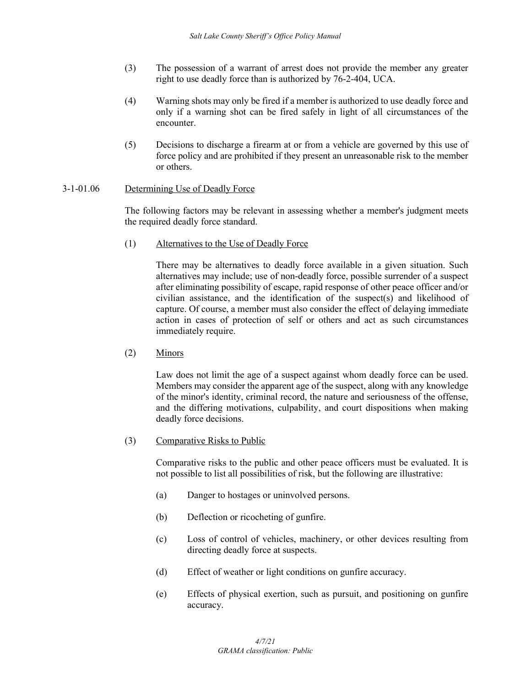- (3) The possession of a warrant of arrest does not provide the member any greater right to use deadly force than is authorized by 76-2-404, UCA.
- (4) Warning shots may only be fired if a member is authorized to use deadly force and only if a warning shot can be fired safely in light of all circumstances of the encounter.
- (5) Decisions to discharge a firearm at or from a vehicle are governed by this use of force policy and are prohibited if they present an unreasonable risk to the member or others.

# 3-1-01.06 Determining Use of Deadly Force

The following factors may be relevant in assessing whether a member's judgment meets the required deadly force standard.

(1) Alternatives to the Use of Deadly Force

There may be alternatives to deadly force available in a given situation. Such alternatives may include; use of non-deadly force, possible surrender of a suspect after eliminating possibility of escape, rapid response of other peace officer and/or civilian assistance, and the identification of the suspect(s) and likelihood of capture. Of course, a member must also consider the effect of delaying immediate action in cases of protection of self or others and act as such circumstances immediately require.

(2) Minors

Law does not limit the age of a suspect against whom deadly force can be used. Members may consider the apparent age of the suspect, along with any knowledge of the minor's identity, criminal record, the nature and seriousness of the offense, and the differing motivations, culpability, and court dispositions when making deadly force decisions.

(3) Comparative Risks to Public

Comparative risks to the public and other peace officers must be evaluated. It is not possible to list all possibilities of risk, but the following are illustrative:

- (a) Danger to hostages or uninvolved persons.
- (b) Deflection or ricocheting of gunfire.
- (c) Loss of control of vehicles, machinery, or other devices resulting from directing deadly force at suspects.
- (d) Effect of weather or light conditions on gunfire accuracy.
- (e) Effects of physical exertion, such as pursuit, and positioning on gunfire accuracy.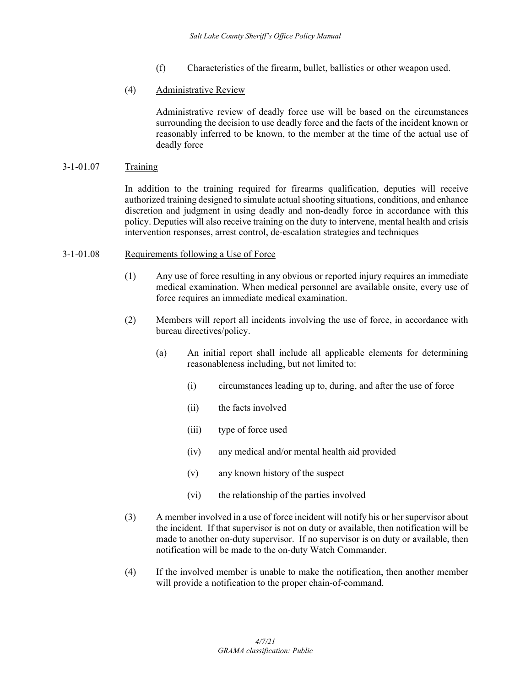- (f) Characteristics of the firearm, bullet, ballistics or other weapon used.
- (4) Administrative Review

Administrative review of deadly force use will be based on the circumstances surrounding the decision to use deadly force and the facts of the incident known or reasonably inferred to be known, to the member at the time of the actual use of deadly force

## 3-1-01.07 Training

In addition to the training required for firearms qualification, deputies will receive authorized training designed to simulate actual shooting situations, conditions, and enhance discretion and judgment in using deadly and non-deadly force in accordance with this policy. Deputies will also receive training on the duty to intervene, mental health and crisis intervention responses, arrest control, de-escalation strategies and techniques

### 3-1-01.08 Requirements following a Use of Force

- (1) Any use of force resulting in any obvious or reported injury requires an immediate medical examination. When medical personnel are available onsite, every use of force requires an immediate medical examination.
- (2) Members will report all incidents involving the use of force, in accordance with bureau directives/policy.
	- (a) An initial report shall include all applicable elements for determining reasonableness including, but not limited to:
		- (i) circumstances leading up to, during, and after the use of force
		- (ii) the facts involved
		- (iii) type of force used
		- (iv) any medical and/or mental health aid provided
		- (v) any known history of the suspect
		- (vi) the relationship of the parties involved
- (3) A member involved in a use of force incident will notify his or her supervisor about the incident. If that supervisor is not on duty or available, then notification will be made to another on-duty supervisor. If no supervisor is on duty or available, then notification will be made to the on-duty Watch Commander.
- (4) If the involved member is unable to make the notification, then another member will provide a notification to the proper chain-of-command.